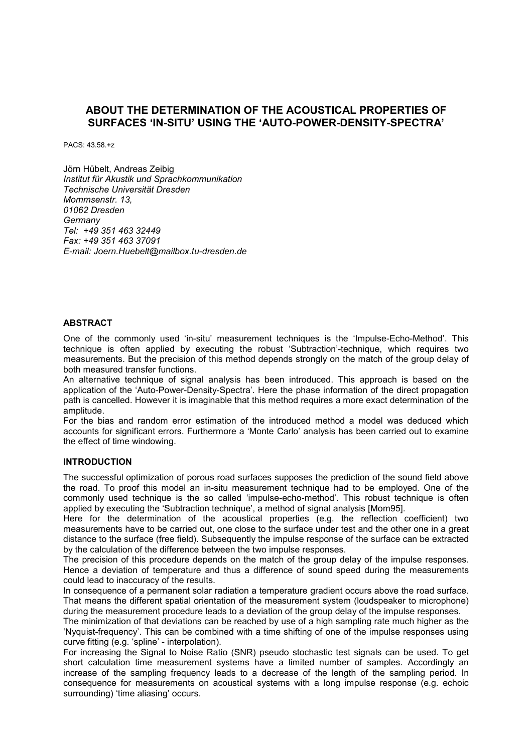# **ABOUT THE DETERMINATION OF THE ACOUSTICAL PROPERTIES OF SURFACES 'IN-SITU' USING THE 'AUTO-POWER-DENSITY-SPECTRA'**

PACS: 43.58.+z

Jörn Hübelt, Andreas Zeibig *Institut für Akustik und Sprachkommunikation Technische Universität Dresden Mommsenstr. 13, 01062 Dresden Germany Tel: +49 351 463 32449 Fax: +49 351 463 37091 E-mail: Joern.Huebelt@mailbox.tu-dresden.de* 

#### **ABSTRACT**

One of the commonly used 'in-situ' measurement techniques is the 'Impulse-Echo-Method'. This technique is often applied by executing the robust 'Subtraction'-technique, which requires two measurements. But the precision of this method depends strongly on the match of the group delay of both measured transfer functions.

An alternative technique of signal analysis has been introduced. This approach is based on the application of the 'Auto-Power-Density-Spectra'. Here the phase information of the direct propagation path is cancelled. However it is imaginable that this method requires a more exact determination of the amplitude.

For the bias and random error estimation of the introduced method a model was deduced which accounts for significant errors. Furthermore a 'Monte Carlo' analysis has been carried out to examine the effect of time windowing.

#### **INTRODUCTION**

The successful optimization of porous road surfaces supposes the prediction of the sound field above the road. To proof this model an in-situ measurement technique had to be employed. One of the commonly used technique is the so called 'impulse-echo-method'. This robust technique is often applied by executing the 'Subtraction technique', a method of signal analysis [Mom95].

Here for the determination of the acoustical properties (e.g. the reflection coefficient) two measurements have to be carried out, one close to the surface under test and the other one in a great distance to the surface (free field). Subsequently the impulse response of the surface can be extracted by the calculation of the difference between the two impulse responses.

The precision of this procedure depends on the match of the group delay of the impulse responses. Hence a deviation of temperature and thus a difference of sound speed during the measurements could lead to inaccuracy of the results.

In consequence of a permanent solar radiation a temperature gradient occurs above the road surface. That means the different spatial orientation of the measurement system (loudspeaker to microphone) during the measurement procedure leads to a deviation of the group delay of the impulse responses.

The minimization of that deviations can be reached by use of a high sampling rate much higher as the 'Nyquist-frequency'. This can be combined with a time shifting of one of the impulse responses using curve fitting (e.g. 'spline' - interpolation).

For increasing the Signal to Noise Ratio (SNR) pseudo stochastic test signals can be used. To get short calculation time measurement systems have a limited number of samples. Accordingly an increase of the sampling frequency leads to a decrease of the length of the sampling period. In consequence for measurements on acoustical systems with a long impulse response (e.g. echoic surrounding) 'time aliasing' occurs.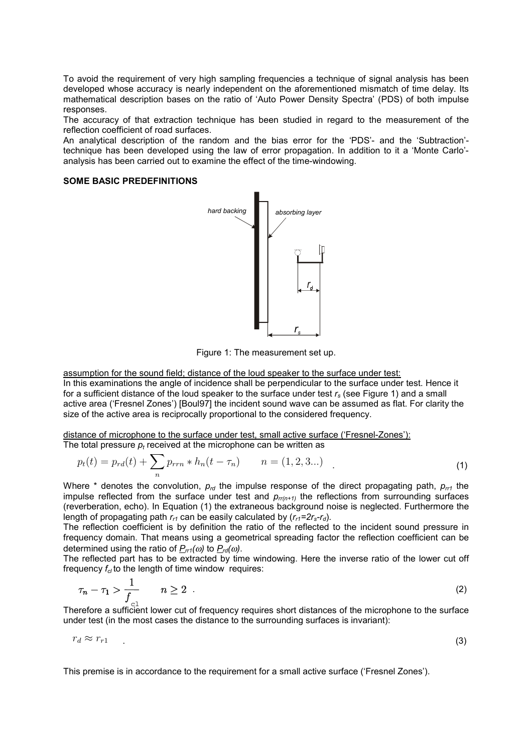To avoid the requirement of very high sampling frequencies a technique of signal analysis has been developed whose accuracy is nearly independent on the aforementioned mismatch of time delay. Its mathematical description bases on the ratio of 'Auto Power Density Spectra' (PDS) of both impulse responses.

The accuracy of that extraction technique has been studied in regard to the measurement of the reflection coefficient of road surfaces.

An analytical description of the random and the bias error for the 'PDS'- and the 'Subtraction' technique has been developed using the law of error propagation. In addition to it a 'Monte Carlo' analysis has been carried out to examine the effect of the time-windowing.

#### **SOME BASIC PREDEFINITIONS**



Figure 1: The measurement set up.

assumption for the sound field; distance of the loud speaker to the surface under test: In this examinations the angle of incidence shall be perpendicular to the surface under test. Hence it for a sufficient distance of the loud speaker to the surface under test *rs* (see Figure 1) and a small active area ('Fresnel Zones') [Boul97] the incident sound wave can be assumed as flat. For clarity the size of the active area is reciprocally proportional to the considered frequency.

distance of microphone to the surface under test, small active surface ('Fresnel-Zones'):

The total pressure  $p_t$  received at the microphone can be written as

$$
p_t(t) = p_{rd}(t) + \sum_n p_{rrn} * h_n(t - \tau_n) \qquad n = (1, 2, 3...)
$$
 (1)

Where  $*$  denotes the convolution,  $p_{rel}$  the impulse response of the direct propagating path,  $p_{rel}$  the impulse reflected from the surface under test and  $p_{rr(n+1)}$  the reflections from surrounding surfaces (reverberation, echo). In Equation (1) the extraneous background noise is neglected. Furthermore the length of propagating path  $r_{r1}$  can be easily calculated by  $(r_{r1}=2r_s-r_d)$ .

The reflection coefficient is by definition the ratio of the reflected to the incident sound pressure in frequency domain. That means using a geometrical spreading factor the reflection coefficient can be determined using the ratio of  $P_{rr1}(\omega)$  to  $P_{rd}(\omega)$ .

The reflected part has to be extracted by time windowing. Here the inverse ratio of the lower cut off frequency  $f_{c}$  to the length of time window requires:

$$
\tau_n - \tau_1 > \frac{1}{f_{\text{cl}}} \qquad n \ge 2 \tag{2}
$$

Therefore a sufficient lower cut of frequency requires short distances of the microphone to the surface under test (in the most cases the distance to the surrounding surfaces is invariant):

$$
r_d \approx r_{r1} \tag{3}
$$

This premise is in accordance to the requirement for a small active surface ('Fresnel Zones').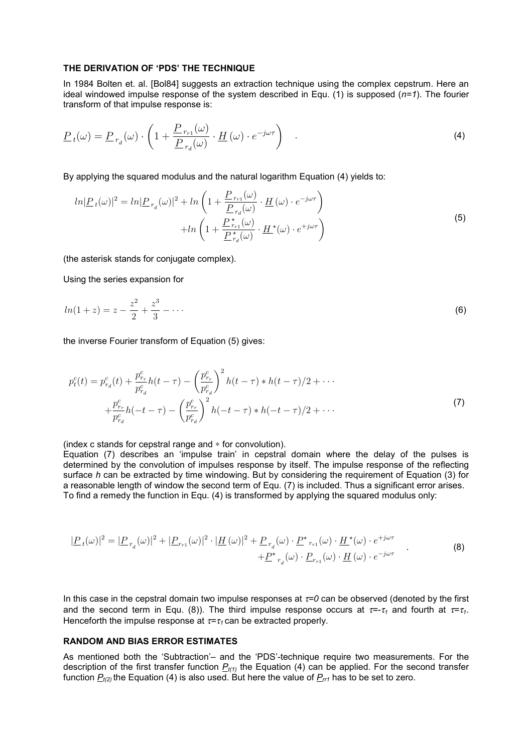#### **THE DERIVATION OF 'PDS' THE TECHNIQUE**

In 1984 Bolten et. al. [Bol84] suggests an extraction technique using the complex cepstrum. Here an ideal windowed impulse response of the system described in Equ. (1) is supposed (*n=1*). The fourier transform of that impulse response is:

$$
\underline{P}_{t}(\omega) = \underline{P}_{r_d}(\omega) \cdot \left(1 + \frac{\underline{P}_{r_{r1}}(\omega)}{\underline{P}_{r_d}(\omega)} \cdot \underline{H}(\omega) \cdot e^{-j\omega\tau}\right) \tag{4}
$$

By applying the squared modulus and the natural logarithm Equation (4) yields to:

$$
ln|\underline{P}_t(\omega)|^2 = ln|\underline{P}_{r_d}(\omega)|^2 + ln\left(1 + \frac{\underline{P}_{r_{r1}}(\omega)}{\underline{P}_{r_d}(\omega)} \cdot \underline{H}(\omega) \cdot e^{-j\omega\tau}\right) + ln\left(1 + \frac{\underline{P}_{r_{r1}}^{\star}(\omega)}{\underline{P}_{r_d}^{\star}(\omega)} \cdot \underline{H}^{\star}(\omega) \cdot e^{+j\omega\tau}\right)
$$
\n(5)

(the asterisk stands for conjugate complex).

Using the series expansion for

$$
ln(1+z) = z - \frac{z^2}{2} + \frac{z^3}{3} - \dots
$$
 (6)

the inverse Fourier transform of Equation (5) gives:

$$
p_t^c(t) = p_{r_d}^c(t) + \frac{p_{r_r}^c}{p_{r_d}^c} h(t - \tau) - \left(\frac{p_{r_r}^c}{p_{r_d}^c}\right)^2 h(t - \tau) * h(t - \tau)/2 + \cdots
$$
  
+ 
$$
\frac{p_{r_r}^c}{p_{r_d}^c} h(-t - \tau) - \left(\frac{p_{r_r}^c}{p_{r_d}^c}\right)^2 h(-t - \tau) * h(-t - \tau)/2 + \cdots
$$
 (7)

(index c stands for cepstral range and ∗ for convolution).

Equation (7) describes an 'impulse train' in cepstral domain where the delay of the pulses is determined by the convolution of impulses response by itself. The impulse response of the reflecting surface *h* can be extracted by time windowing. But by considering the requirement of Equation (3) for a reasonable length of window the second term of Equ. (7) is included. Thus a significant error arises. To find a remedy the function in Equ. (4) is transformed by applying the squared modulus only:

$$
|\underline{P}_t(\omega)|^2 = |\underline{P}_{r_d}(\omega)|^2 + |\underline{P}_{r_{r1}}(\omega)|^2 \cdot |\underline{H}(\omega)|^2 + \underline{P}_{r_d}(\omega) \cdot \underline{P}^*_{r_{r1}}(\omega) \cdot \underline{H}^*(\omega) \cdot e^{+j\omega\tau} + \underline{P}^*_{r_d}(\omega) \cdot \underline{P}_{r_{r1}}(\omega) \cdot \underline{H}(\omega) \cdot e^{-j\omega\tau}
$$
\n(8)

In this case in the cepstral domain two impulse responses at τ*=0* can be observed (denoted by the first and the second term in Equ. (8)). The third impulse response occurs at  $\tau = \tau_1$  and fourth at  $\tau = \tau_1$ . Henceforth the impulse response at τ*=*<sup>τ</sup>*1* can be extracted properly.

# **RANDOM AND BIAS ERROR ESTIMATES**

As mentioned both the 'Subtraction'– and the 'PDS'-technique require two measurements. For the description of the first transfer function  $P_{t(1)}$  the Equation (4) can be applied. For the second transfer function  $P_{t(2)}$  the Equation (4) is also used. But here the value of  $P_{rr1}$  has to be set to zero.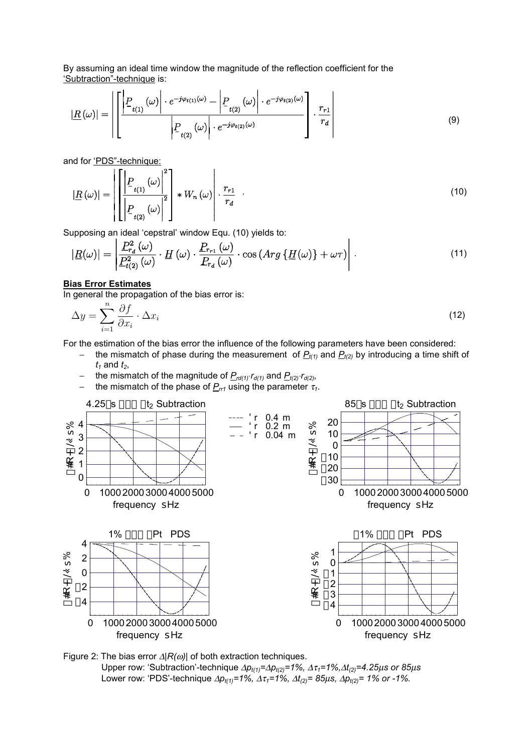By assuming an ideal time window the magnitude of the reflection coefficient for the 'Subtraction"-technique is:

$$
|\underline{R}(\omega)| = \left| \left[ \frac{\left| P_{t(1)}(\omega) \right| \cdot e^{-j\varphi_{t(1)}(\omega)} - \left| P_{t(2)}(\omega) \right| \cdot e^{-j\varphi_{t(2)}(\omega)} \right|}{\left| P_{t(2)}(\omega) \right| \cdot e^{-j\varphi_{t(2)}(\omega)}} \right] \cdot \frac{r_{r1}}{r_d} \right| \tag{9}
$$

and for 'PDS"-technique:

$$
|\underline{R}(\omega)| = \left\| \left[ \frac{\left| P_{t(1)}(\omega) \right|^2}{\left| P_{t(2)}(\omega) \right|^2} \right] * W_n(\omega) \right| \cdot \frac{r_{r1}}{r_d} \quad (10)
$$

Supposing an ideal 'cepstral' window Equ. (10) yields to:

$$
|\underline{R}(\omega)| = \left| \frac{P_{r_d}^2(\omega)}{P_{t(2)}^2(\omega)} \cdot \underline{H}(\omega) \cdot \frac{P_{r_{r1}}(\omega)}{P_{r_d}(\omega)} \cdot \cos\left(Arg\left\{\underline{H}(\omega)\right\} + \omega\tau\right) \right| \,. \tag{11}
$$

## **Bias Error Estimates**

In general the propagation of the bias error is:

$$
\Delta y = \sum_{i=1}^{n} \frac{\partial f}{\partial x_i} \cdot \Delta x_i
$$
\n(12)

For the estimation of the bias error the influence of the following parameters have been considered:

- the mismatch of phase during the measurement of  $P_{t(1)}$  and  $P_{t(2)}$  by introducing a time shift of  $t_1$  and  $t_2$ ,
	- − the mismatch of the magnitude of *Prd(1)*⋅*rd(1)* and *Pt(2)*⋅*rd(2),*
- − the mismatch of the phase of *Prr1* using the parameter <sup>τ</sup>*1*.



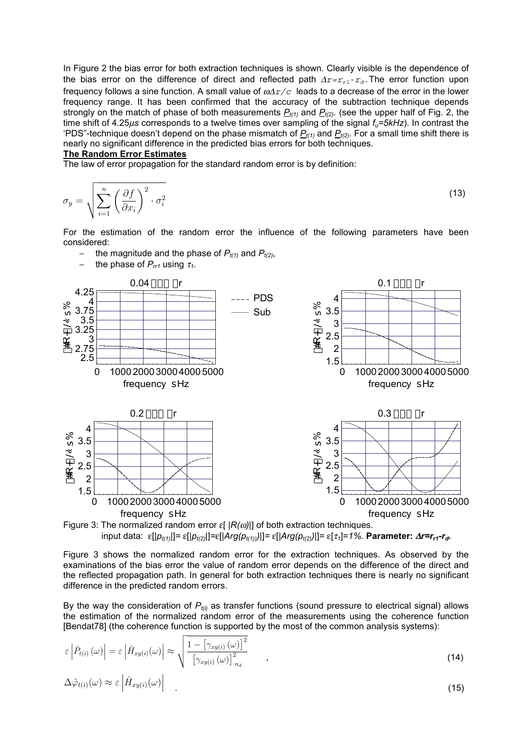In Figure 2 the bias error for both extraction techniques is shown. Clearly visible is the dependence of the bias error on the difference of direct and reflected path  $\Delta r = r_{r1}-r_d$ . The error function upon frequency follows a sine function. A small value of ω∆*r/c* leads to a decrease of the error in the lower frequency range. It has been confirmed that the accuracy of the subtraction technique depends strongly on the match of phase of both measurements  $P_{t(1)}$  and  $P_{t(2)}$ . (see the upper half of Fig. 2, the time shift of 4.25µ*s* corresponds to a twelve times over sampling of the signal *fu=5kHz*). In contrast the 'PDS"-technique doesn't depend on the phase mismatch of  $P_{t(1)}$  and  $P_{t(2)}$ . For a small time shift there is nearly no significant difference in the predicted bias errors for both techniques.

## **The Random Error Estimates**

The law of error propagation for the standard random error is by definition:

$$
\sigma_y = \sqrt{\sum_{i=1}^n \left(\frac{\partial f}{\partial x_i}\right)^2 \cdot \sigma_i^2}
$$
\n(13)

For the estimation of the random error the influence of the following parameters have been considered:

- − the magnitude and the phase of *Pt(1)* and *Pt(2)*,
- − the phase of *Prr1* using <sup>τ</sup>*1*.





Figure 3 shows the normalized random error for the extraction techniques. As observed by the examinations of the bias error the value of random error depends on the difference of the direct and the reflected propagation path. In general for both extraction techniques there is nearly no significant difference in the predicted random errors.

By the way the consideration of *Pt(i)* as transfer functions (sound pressure to electrical signal) allows the estimation of the normalized random error of the measurements using the coherence function [Bendat78] (the coherence function is supported by the most of the common analysis systems):

$$
\varepsilon \left| \hat{P}_{t(i)} \left( \omega \right) \right| = \varepsilon \left| \hat{H}_{xy(i)} \left( \omega \right) \right| \approx \sqrt{\frac{1 - \left[ \gamma_{xy(i)} \left( \omega \right) \right]^2}{\left[ \gamma_{xy(i)} \left( \omega \right) \right]_{n_d}^2}} \tag{14}
$$
\n
$$
\Delta \hat{\varphi}_{t(i)} \left( \omega \right) \approx \varepsilon \left| \hat{H}_{xy(i)} \left( \omega \right) \right| \tag{15}
$$